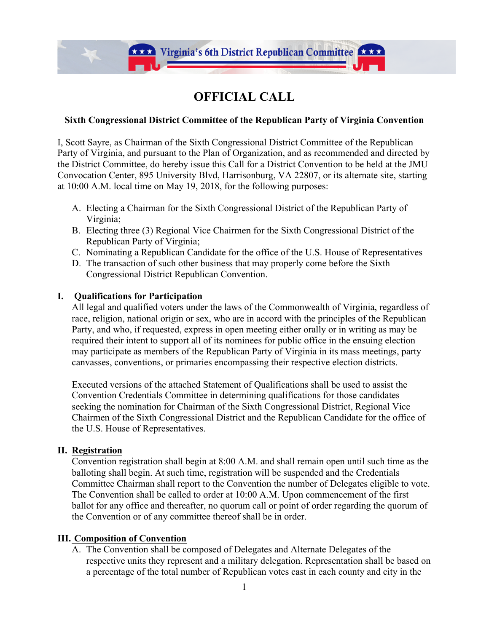

**Extra Virginia's 6th District Republican Committee Extra** 

## **Sixth Congressional District Committee of the Republican Party of Virginia Convention**

I, Scott Sayre, as Chairman of the Sixth Congressional District Committee of the Republican Party of Virginia, and pursuant to the Plan of Organization, and as recommended and directed by the District Committee, do hereby issue this Call for a District Convention to be held at the JMU Convocation Center, 895 University Blvd, Harrisonburg, VA 22807, or its alternate site, starting at 10:00 A.M. local time on May 19, 2018, for the following purposes:

- A. Electing a Chairman for the Sixth Congressional District of the Republican Party of Virginia;
- B. Electing three (3) Regional Vice Chairmen for the Sixth Congressional District of the Republican Party of Virginia;
- C. Nominating a Republican Candidate for the office of the U.S. House of Representatives
- D. The transaction of such other business that may properly come before the Sixth Congressional District Republican Convention.

### **I. Qualifications for Participation**

All legal and qualified voters under the laws of the Commonwealth of Virginia, regardless of race, religion, national origin or sex, who are in accord with the principles of the Republican Party, and who, if requested, express in open meeting either orally or in writing as may be required their intent to support all of its nominees for public office in the ensuing election may participate as members of the Republican Party of Virginia in its mass meetings, party canvasses, conventions, or primaries encompassing their respective election districts.

Executed versions of the attached Statement of Qualifications shall be used to assist the Convention Credentials Committee in determining qualifications for those candidates seeking the nomination for Chairman of the Sixth Congressional District, Regional Vice Chairmen of the Sixth Congressional District and the Republican Candidate for the office of the U.S. House of Representatives.

#### **II. Registration**

Convention registration shall begin at 8:00 A.M. and shall remain open until such time as the balloting shall begin. At such time, registration will be suspended and the Credentials Committee Chairman shall report to the Convention the number of Delegates eligible to vote. The Convention shall be called to order at 10:00 A.M. Upon commencement of the first ballot for any office and thereafter, no quorum call or point of order regarding the quorum of the Convention or of any committee thereof shall be in order.

#### **III. Composition of Convention**

A. The Convention shall be composed of Delegates and Alternate Delegates of the respective units they represent and a military delegation. Representation shall be based on a percentage of the total number of Republican votes cast in each county and city in the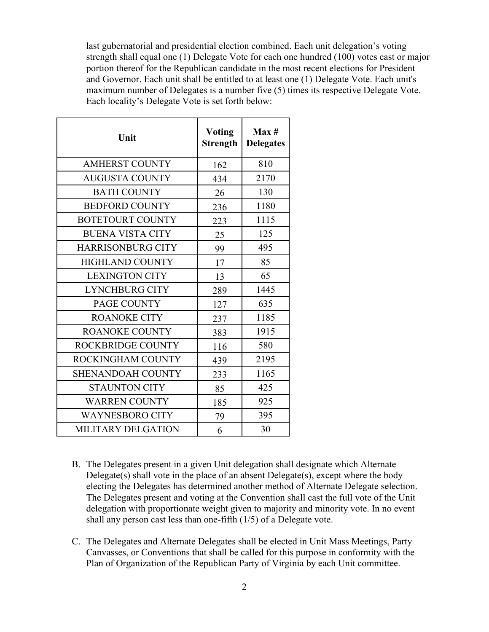last gubernatorial and presidential election combined. Each unit delegation's voting strength shall equal one (1) Delegate Vote for each one hundred (100) votes cast or major portion thereof for the Republican candidate in the most recent elections for President and Governor. Each unit shall be entitled to at least one (1) Delegate Vote. Each unit's maximum number of Delegates is a number five (5) times its respective Delegate Vote. Each locality's Delegate Vote is set forth below:

| Unit                     | <b>Voting</b><br><b>Strength</b> | Max#<br><b>Delegates</b> |
|--------------------------|----------------------------------|--------------------------|
| <b>AMHERST COUNTY</b>    | 162                              | 810                      |
| <b>AUGUSTA COUNTY</b>    | 434                              | 2170                     |
| <b>BATH COUNTY</b>       | 26                               | 130                      |
| <b>BEDFORD COUNTY</b>    | 236                              | 1180                     |
| <b>BOTETOURT COUNTY</b>  | 223                              | 1115                     |
| <b>BUENA VISTA CITY</b>  | 25                               | 125                      |
| <b>HARRISONBURG CITY</b> | 99                               | 495                      |
| <b>HIGHLAND COUNTY</b>   | 17                               | 85                       |
| <b>LEXINGTON CITY</b>    | 13                               | 65                       |
| <b>LYNCHBURG CITY</b>    | 289                              | 1445                     |
| PAGE COUNTY              | 127                              | 635                      |
| <b>ROANOKE CITY</b>      | 237                              | 1185                     |
| <b>ROANOKE COUNTY</b>    | 383                              | 1915                     |
| <b>ROCKBRIDGE COUNTY</b> | 116                              | 580                      |
| ROCKINGHAM COUNTY        | 439                              | 2195                     |
| <b>SHENANDOAH COUNTY</b> | 233                              | 1165                     |
| <b>STAUNTON CITY</b>     | 85                               | 425                      |
| <b>WARREN COUNTY</b>     | 185                              | 925                      |
| <b>WAYNESBORO CITY</b>   | 79                               | 395                      |
| MILITARY DELGATION       | 6                                | 30                       |

- B. The Delegates present in a given Unit delegation shall designate which Alternate Delegate(s) shall vote in the place of an absent Delegate(s), except where the body electing the Delegates has determined another method of Alternate Delegate selection. The Delegates present and voting at the Convention shall cast the full vote of the Unit delegation with proportionate weight given to majority and minority vote. In no event shall any person cast less than one-fifth (1/5) of a Delegate vote.
- C. The Delegates and Alternate Delegates shall be elected in Unit Mass Meetings, Party Canvasses, or Conventions that shall be called for this purpose in conformity with the Plan of Organization of the Republican Party of Virginia by each Unit committee.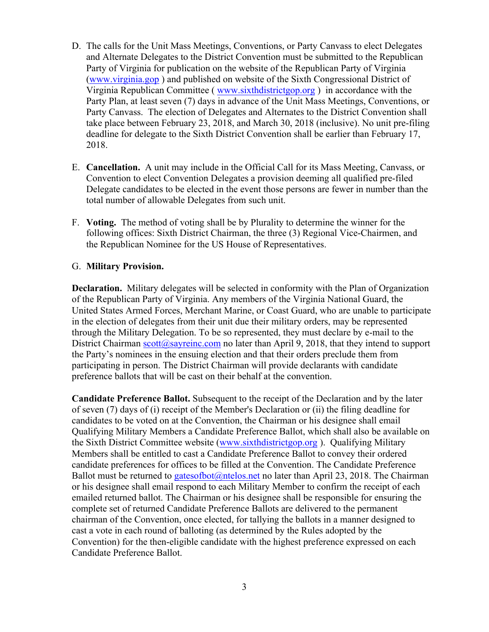- D. The calls for the Unit Mass Meetings, Conventions, or Party Canvass to elect Delegates and Alternate Delegates to the District Convention must be submitted to the Republican Party of Virginia for publication on the website of the Republican Party of Virginia (www.virginia.gop ) and published on website of the Sixth Congressional District of Virginia Republican Committee ( www.sixthdistrictgop.org ) in accordance with the Party Plan, at least seven (7) days in advance of the Unit Mass Meetings, Conventions, or Party Canvass. The election of Delegates and Alternates to the District Convention shall take place between February 23, 2018, and March 30, 2018 (inclusive). No unit pre-filing deadline for delegate to the Sixth District Convention shall be earlier than February 17, 2018.
- E. **Cancellation.** A unit may include in the Official Call for its Mass Meeting, Canvass, or Convention to elect Convention Delegates a provision deeming all qualified pre-filed Delegate candidates to be elected in the event those persons are fewer in number than the total number of allowable Delegates from such unit.
- F. **Voting.** The method of voting shall be by Plurality to determine the winner for the following offices: Sixth District Chairman, the three (3) Regional Vice-Chairmen, and the Republican Nominee for the US House of Representatives.

#### G. **Military Provision.**

**Declaration.** Military delegates will be selected in conformity with the Plan of Organization of the Republican Party of Virginia. Any members of the Virginia National Guard, the United States Armed Forces, Merchant Marine, or Coast Guard, who are unable to participate in the election of delegates from their unit due their military orders, may be represented through the Military Delegation. To be so represented, they must declare by e-mail to the District Chairman scott@sayreinc.com no later than April 9, 2018, that they intend to support the Party's nominees in the ensuing election and that their orders preclude them from participating in person. The District Chairman will provide declarants with candidate preference ballots that will be cast on their behalf at the convention.

**Candidate Preference Ballot.** Subsequent to the receipt of the Declaration and by the later of seven (7) days of (i) receipt of the Member's Declaration or (ii) the filing deadline for candidates to be voted on at the Convention, the Chairman or his designee shall email Qualifying Military Members a Candidate Preference Ballot, which shall also be available on the Sixth District Committee website (www.sixthdistrictgop.org ). Qualifying Military Members shall be entitled to cast a Candidate Preference Ballot to convey their ordered candidate preferences for offices to be filled at the Convention. The Candidate Preference Ballot must be returned to gatesofbot @ntelos.net no later than April 23, 2018. The Chairman or his designee shall email respond to each Military Member to confirm the receipt of each emailed returned ballot. The Chairman or his designee shall be responsible for ensuring the complete set of returned Candidate Preference Ballots are delivered to the permanent chairman of the Convention, once elected, for tallying the ballots in a manner designed to cast a vote in each round of balloting (as determined by the Rules adopted by the Convention) for the then-eligible candidate with the highest preference expressed on each Candidate Preference Ballot.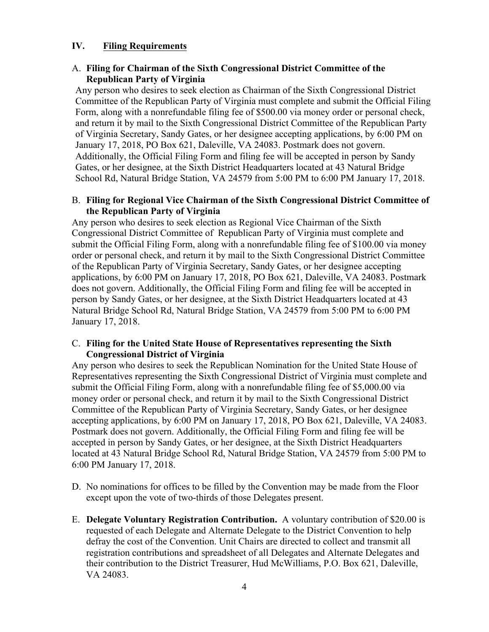### **IV. Filing Requirements**

### A. **Filing for Chairman of the Sixth Congressional District Committee of the Republican Party of Virginia**

Any person who desires to seek election as Chairman of the Sixth Congressional District Committee of the Republican Party of Virginia must complete and submit the Official Filing Form, along with a nonrefundable filing fee of \$500.00 via money order or personal check, and return it by mail to the Sixth Congressional District Committee of the Republican Party of Virginia Secretary, Sandy Gates, or her designee accepting applications, by 6:00 PM on January 17, 2018, PO Box 621, Daleville, VA 24083. Postmark does not govern. Additionally, the Official Filing Form and filing fee will be accepted in person by Sandy Gates, or her designee, at the Sixth District Headquarters located at 43 Natural Bridge School Rd, Natural Bridge Station, VA 24579 from 5:00 PM to 6:00 PM January 17, 2018.

#### B. **Filing for Regional Vice Chairman of the Sixth Congressional District Committee of the Republican Party of Virginia**

Any person who desires to seek election as Regional Vice Chairman of the Sixth Congressional District Committee of Republican Party of Virginia must complete and submit the Official Filing Form, along with a nonrefundable filing fee of \$100.00 via money order or personal check, and return it by mail to the Sixth Congressional District Committee of the Republican Party of Virginia Secretary, Sandy Gates, or her designee accepting applications, by 6:00 PM on January 17, 2018, PO Box 621, Daleville, VA 24083. Postmark does not govern. Additionally, the Official Filing Form and filing fee will be accepted in person by Sandy Gates, or her designee, at the Sixth District Headquarters located at 43 Natural Bridge School Rd, Natural Bridge Station, VA 24579 from 5:00 PM to 6:00 PM January 17, 2018.

#### C. **Filing for the United State House of Representatives representing the Sixth Congressional District of Virginia**

Any person who desires to seek the Republican Nomination for the United State House of Representatives representing the Sixth Congressional District of Virginia must complete and submit the Official Filing Form, along with a nonrefundable filing fee of \$5,000.00 via money order or personal check, and return it by mail to the Sixth Congressional District Committee of the Republican Party of Virginia Secretary, Sandy Gates, or her designee accepting applications, by 6:00 PM on January 17, 2018, PO Box 621, Daleville, VA 24083. Postmark does not govern. Additionally, the Official Filing Form and filing fee will be accepted in person by Sandy Gates, or her designee, at the Sixth District Headquarters located at 43 Natural Bridge School Rd, Natural Bridge Station, VA 24579 from 5:00 PM to 6:00 PM January 17, 2018.

- D. No nominations for offices to be filled by the Convention may be made from the Floor except upon the vote of two-thirds of those Delegates present.
- E. **Delegate Voluntary Registration Contribution.** A voluntary contribution of \$20.00 is requested of each Delegate and Alternate Delegate to the District Convention to help defray the cost of the Convention. Unit Chairs are directed to collect and transmit all registration contributions and spreadsheet of all Delegates and Alternate Delegates and their contribution to the District Treasurer, Hud McWilliams, P.O. Box 621, Daleville, VA 24083.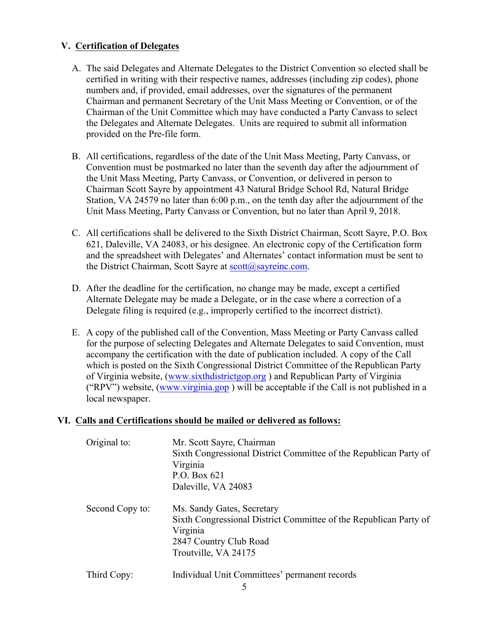# **V. Certification of Delegates**

- A. The said Delegates and Alternate Delegates to the District Convention so elected shall be certified in writing with their respective names, addresses (including zip codes), phone numbers and, if provided, email addresses, over the signatures of the permanent Chairman and permanent Secretary of the Unit Mass Meeting or Convention, or of the Chairman of the Unit Committee which may have conducted a Party Canvass to select the Delegates and Alternate Delegates. Units are required to submit all information provided on the Pre-file form.
- B. All certifications, regardless of the date of the Unit Mass Meeting, Party Canvass, or Convention must be postmarked no later than the seventh day after the adjournment of the Unit Mass Meeting, Party Canvass, or Convention, or delivered in person to Chairman Scott Sayre by appointment 43 Natural Bridge School Rd, Natural Bridge Station, VA 24579 no later than 6:00 p.m., on the tenth day after the adjournment of the Unit Mass Meeting, Party Canvass or Convention, but no later than April 9, 2018.
- C. All certifications shall be delivered to the Sixth District Chairman, Scott Sayre, P.O. Box 621, Daleville, VA 24083, or his designee. An electronic copy of the Certification form and the spreadsheet with Delegates' and Alternates' contact information must be sent to the District Chairman, Scott Sayre at scott@sayreinc.com.
- D. After the deadline for the certification, no change may be made, except a certified Alternate Delegate may be made a Delegate, or in the case where a correction of a Delegate filing is required (e.g., improperly certified to the incorrect district).
- E. A copy of the published call of the Convention, Mass Meeting or Party Canvass called for the purpose of selecting Delegates and Alternate Delegates to said Convention, must accompany the certification with the date of publication included. A copy of the Call which is posted on the Sixth Congressional District Committee of the Republican Party of Virginia website, (www.sixthdistrictgop.org ) and Republican Party of Virginia ("RPV") website, (www.virginia.gop ) will be acceptable if the Call is not published in a local newspaper.

## **VI. Calls and Certifications should be mailed or delivered as follows:**

| Original to:    | Mr. Scott Sayre, Chairman<br>Sixth Congressional District Committee of the Republican Party of<br>Virginia<br>P.O. Box 621<br>Daleville, VA 24083             |
|-----------------|---------------------------------------------------------------------------------------------------------------------------------------------------------------|
| Second Copy to: | Ms. Sandy Gates, Secretary<br>Sixth Congressional District Committee of the Republican Party of<br>Virginia<br>2847 Country Club Road<br>Troutville, VA 24175 |
| Third Copy:     | Individual Unit Committees' permanent records                                                                                                                 |